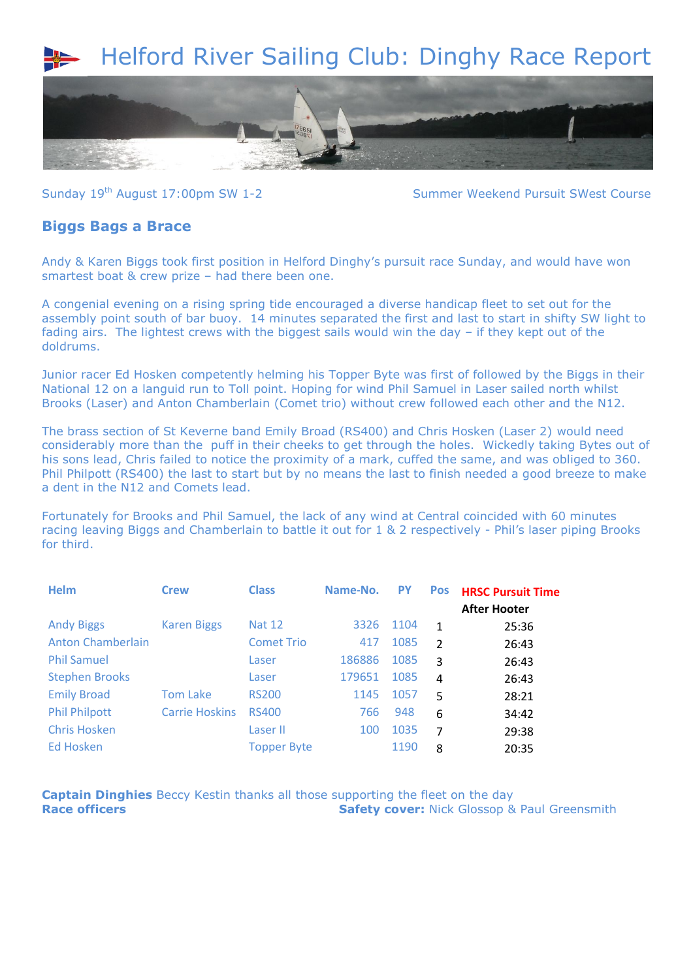## Helford River Sailing Club: Dinghy Race Report



Sunday 19<sup>th</sup> August 17:00pm SW 1-2 Summer Weekend Pursuit SWest Course

## **Biggs Bags a Brace**

Andy & Karen Biggs took first position in Helford Dinghy's pursuit race Sunday, and would have won smartest boat & crew prize – had there been one.

A congenial evening on a rising spring tide encouraged a diverse handicap fleet to set out for the assembly point south of bar buoy. 14 minutes separated the first and last to start in shifty SW light to fading airs. The lightest crews with the biggest sails would win the day – if they kept out of the doldrums.

Junior racer Ed Hosken competently helming his Topper Byte was first of followed by the Biggs in their National 12 on a languid run to Toll point. Hoping for wind Phil Samuel in Laser sailed north whilst Brooks (Laser) and Anton Chamberlain (Comet trio) without crew followed each other and the N12.

The brass section of St Keverne band Emily Broad (RS400) and Chris Hosken (Laser 2) would need considerably more than the puff in their cheeks to get through the holes. Wickedly taking Bytes out of his sons lead, Chris failed to notice the proximity of a mark, cuffed the same, and was obliged to 360. Phil Philpott (RS400) the last to start but by no means the last to finish needed a good breeze to make a dent in the N12 and Comets lead.

Fortunately for Brooks and Phil Samuel, the lack of any wind at Central coincided with 60 minutes racing leaving Biggs and Chamberlain to battle it out for 1 & 2 respectively - Phil's laser piping Brooks for third.

| <b>Helm</b>              | <b>Crew</b>           | <b>Class</b>       | Name-No. | <b>PY</b> | <b>Pos</b>    | <b>HRSC Pursuit Time</b> |
|--------------------------|-----------------------|--------------------|----------|-----------|---------------|--------------------------|
|                          |                       |                    |          |           |               | <b>After Hooter</b>      |
| <b>Andy Biggs</b>        | <b>Karen Biggs</b>    | <b>Nat 12</b>      | 3326     | 1104      | $\mathbf{1}$  | 25:36                    |
| <b>Anton Chamberlain</b> |                       | <b>Comet Trio</b>  | 417      | 1085      | $\mathcal{P}$ | 26:43                    |
| <b>Phil Samuel</b>       |                       | Laser              | 186886   | 1085      | 3             | 26:43                    |
| <b>Stephen Brooks</b>    |                       | Laser              | 179651   | 1085      | 4             | 26:43                    |
| <b>Emily Broad</b>       | <b>Tom Lake</b>       | <b>RS200</b>       | 1145     | 1057      | 5             | 28:21                    |
| <b>Phil Philpott</b>     | <b>Carrie Hoskins</b> | <b>RS400</b>       | 766      | 948       | 6             | 34:42                    |
| <b>Chris Hosken</b>      |                       | Laser II           | 100      | 1035      | 7             | 29:38                    |
| Ed Hosken                |                       | <b>Topper Byte</b> |          | 1190      | 8             | 20:35                    |

**Captain Dinghies** Beccy Kestin thanks all those supporting the fleet on the day **Race officers Safety cover:** Nick Glossop & Paul Greensmith